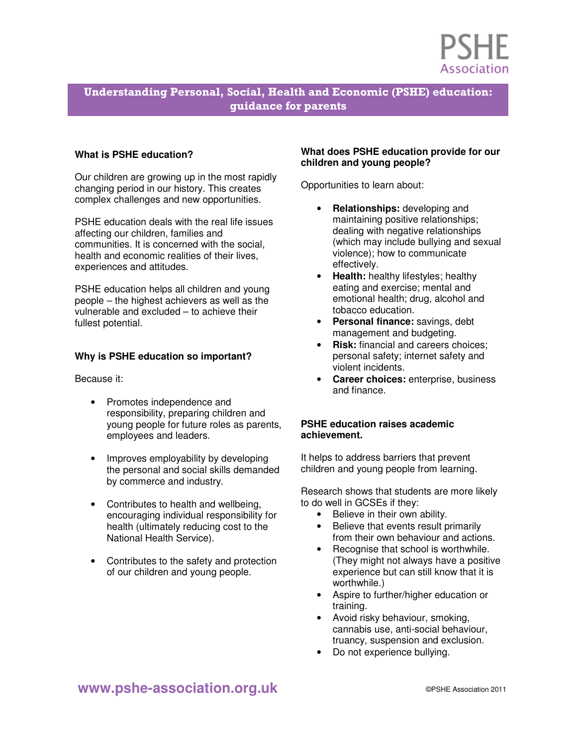

## Understanding Personal, Social, Health and Economic (PSHE) education: guidance for parents

#### **What is PSHE education?**

Our children are growing up in the most rapidly changing period in our history. This creates complex challenges and new opportunities.

PSHE education deals with the real life issues affecting our children, families and communities. It is concerned with the social, health and economic realities of their lives, experiences and attitudes.

PSHE education helps all children and young people – the highest achievers as well as the vulnerable and excluded – to achieve their fullest potential.

#### **Why is PSHE education so important?**

Because it:

- Promotes independence and responsibility, preparing children and young people for future roles as parents, employees and leaders.
- Improves employability by developing the personal and social skills demanded by commerce and industry.
- Contributes to health and wellbeing, encouraging individual responsibility for health (ultimately reducing cost to the National Health Service).
- Contributes to the safety and protection of our children and young people.

#### **What does PSHE education provide for our children and young people?**

Opportunities to learn about:

- **Relationships:** developing and maintaining positive relationships; dealing with negative relationships (which may include bullying and sexual violence); how to communicate effectively.
- **Health:** healthy lifestyles; healthy eating and exercise; mental and emotional health; drug, alcohol and tobacco education.
- **Personal finance:** savings, debt management and budgeting.
- **Risk:** financial and careers choices; personal safety; internet safety and violent incidents.
- **Career choices:** enterprise, business and finance.

#### **PSHE education raises academic achievement.**

It helps to address barriers that prevent children and young people from learning.

Research shows that students are more likely to do well in GCSEs if they:

- Believe in their own ability.
- Believe that events result primarily from their own behaviour and actions.
- Recognise that school is worthwhile. (They might not always have a positive experience but can still know that it is worthwhile.)
- Aspire to further/higher education or training.
- Avoid risky behaviour, smoking, cannabis use, anti-social behaviour, truancy, suspension and exclusion.
- Do not experience bullying.

# **WWW.pshe-association.org.uk CONSTRE Association 2011**